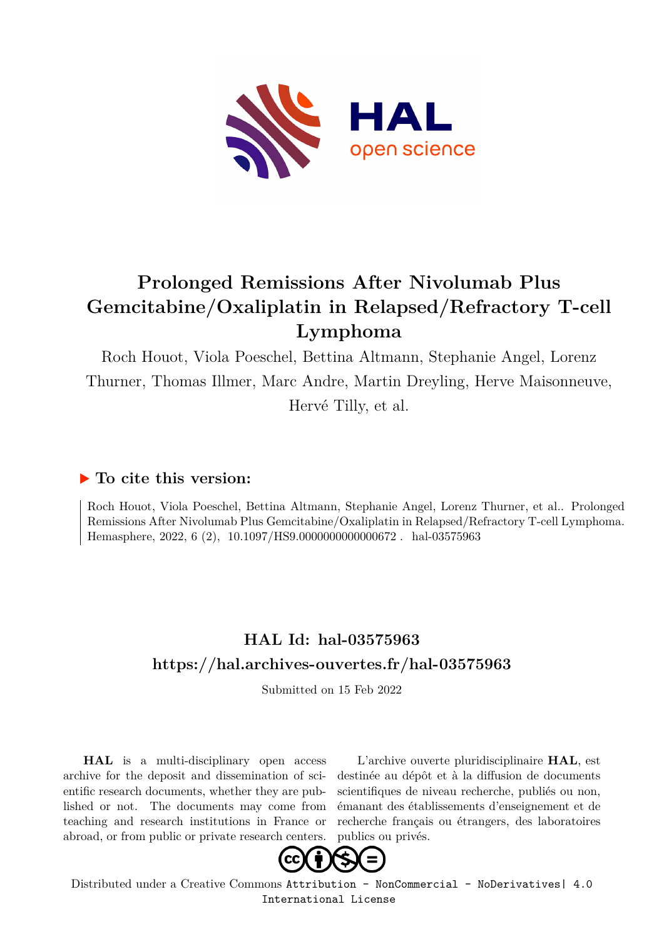

### **Prolonged Remissions After Nivolumab Plus Gemcitabine/Oxaliplatin in Relapsed/Refractory T-cell Lymphoma**

Roch Houot, Viola Poeschel, Bettina Altmann, Stephanie Angel, Lorenz Thurner, Thomas Illmer, Marc Andre, Martin Dreyling, Herve Maisonneuve, Hervé Tilly, et al.

### **To cite this version:**

Roch Houot, Viola Poeschel, Bettina Altmann, Stephanie Angel, Lorenz Thurner, et al.. Prolonged Remissions After Nivolumab Plus Gemcitabine/Oxaliplatin in Relapsed/Refractory T-cell Lymphoma. Hemasphere, 2022, 6 (2), 10.1097/HS9.0000000000000672. hal-03575963

### **HAL Id: hal-03575963 <https://hal.archives-ouvertes.fr/hal-03575963>**

Submitted on 15 Feb 2022

**HAL** is a multi-disciplinary open access archive for the deposit and dissemination of scientific research documents, whether they are published or not. The documents may come from teaching and research institutions in France or abroad, or from public or private research centers.

L'archive ouverte pluridisciplinaire **HAL**, est destinée au dépôt et à la diffusion de documents scientifiques de niveau recherche, publiés ou non, émanant des établissements d'enseignement et de recherche français ou étrangers, des laboratoires publics ou privés.



Distributed under a Creative Commons [Attribution - NonCommercial - NoDerivatives| 4.0](http://creativecommons.org/licenses/by-nc-nd/4.0/) [International License](http://creativecommons.org/licenses/by-nc-nd/4.0/)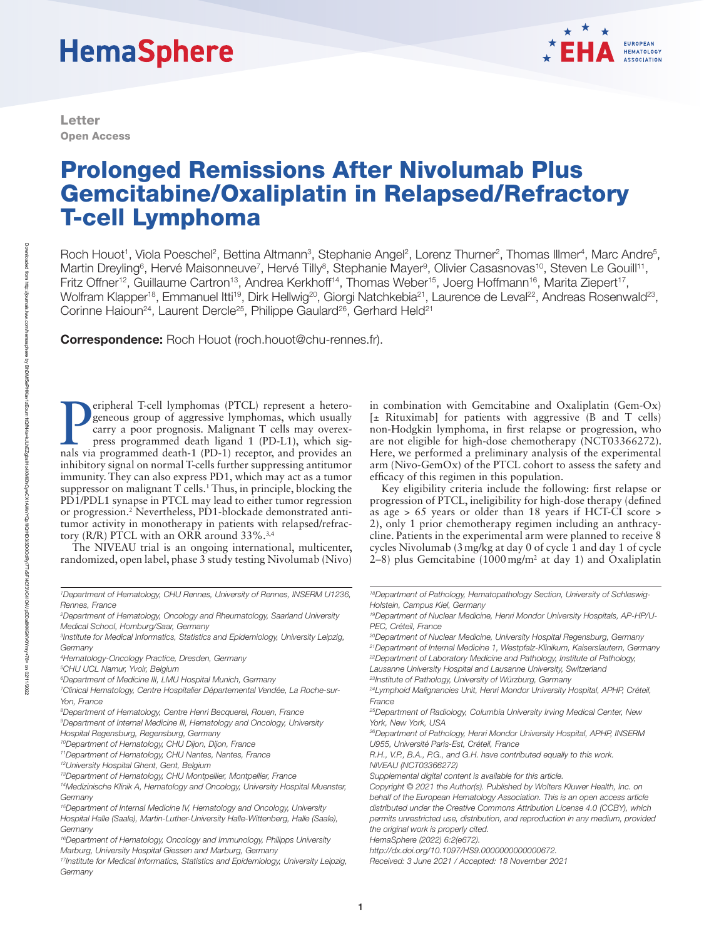# **HemaSphere**

Letter Open Access



## Prolonged Remissions After Nivolumab Plus Gemcitabine/Oxaliplatin in Relapsed/Refractory T-cell Lymphoma

Roch Houot<sup>1</sup>, Viola Poeschel<sup>2</sup>, Bettina Altmann<sup>3</sup>, Stephanie Angel<sup>2</sup>, Lorenz Thurner<sup>2</sup>, Thomas Illmer<sup>4</sup>, Marc Andre<sup>5</sup>, Martin Dreyling<sup>6</sup>, Hervé Maisonneuve<sup>7</sup>, Hervé Tilly<sup>8</sup>, Stephanie Mayer<sup>9</sup>, Olivier Casasnovas<sup>10</sup>, Steven Le Gouill<sup>11</sup>, Fritz Offner<sup>12</sup>, Guillaume Cartron<sup>13</sup>, Andrea Kerkhoff<sup>14</sup>, Thomas Weber<sup>15</sup>, Joerg Hoffmann<sup>16</sup>, Marita Ziepert<sup>17</sup>, Wolfram Klapper<sup>18</sup>, Emmanuel Itti<sup>19</sup>, Dirk Hellwig<sup>20</sup>, Giorgi Natchkebia<sup>21</sup>, Laurence de Leval<sup>22</sup>, Andreas Rosenwald<sup>23</sup>, Corinne Haioun<sup>24</sup>, Laurent Dercle<sup>25</sup>, Philippe Gaulard<sup>26</sup>, Gerhard Held<sup>21</sup>

Correspondence: Roch Houot ([roch.houot@chu-rennes.fr\)](mailto:roch.houot@chu-rennes.fr).

**Exercise 1 Figure 1** T-cell lymphomas (PTCL) represent a heterogeneous group of aggressive lymphomas, which usually carry a poor prognosis. Malignant T cells may overexpress programmed death ligand 1 (PD-L1), which signal eripheral T-cell lymphomas (PTCL) represent a heterogeneous group of aggressive lymphomas, which usually carry a poor prognosis. Malignant T cells may overexpress programmed death ligand 1 (PD-L1), which siginhibitory signal on normal T-cells further suppressing antitumor immunity. They can also express PD1, which may act as a tumor suppressor on malignant  $T$  cells.<sup>1</sup> Thus, in principle, blocking the PD1/PDL1 synapse in PTCL may lead to either tumor regression or progression.2 Nevertheless, PD1-blockade demonstrated antitumor activity in monotherapy in patients with relapsed/refractory (R/R) PTCL with an ORR around 33%.3,4

The NIVEAU trial is an ongoing international, multicenter, randomized, open label, phase 3 study testing Nivolumab (Nivo)

- *15Department of Internal Medicine IV, Hematology and Oncology, University Hospital Halle (Saale), Martin-Luther-University Halle-Wittenberg, Halle (Saale), Germany*
- *16Department of Hematology, Oncology and Immunology, Philipps University Marburg, University Hospital Giessen and Marburg, Germany*
- *17Institute for Medical Informatics, Statistics and Epidemiology, University Leipzig,*  Germany

in combination with Gemcitabine and Oxaliplatin (Gem-Ox)  $[\pm$  Rituximab] for patients with aggressive (B and T cells) non-Hodgkin lymphoma, in first relapse or progression, who are not eligible for high-dose chemotherapy (NCT03366272). Here, we performed a preliminary analysis of the experimental arm (Nivo-GemOx) of the PTCL cohort to assess the safety and efficacy of this regimen in this population.

Key eligibility criteria include the following: first relapse or progression of PTCL, ineligibility for high-dose therapy (defined as age > 65 years or older than 18 years if HCT-CI score > 2), only 1 prior chemotherapy regimen including an anthracycline. Patients in the experimental arm were planned to receive 8 cycles Nivolumab (3mg/kg at day 0 of cycle 1 and day 1 of cycle  $2-8$ ) plus Gemcitabine (1000 mg/m<sup>2</sup> at day 1) and Oxaliplatin

*HemaSphere (2022) 6:2(e672).* 

*<http://dx.doi.org/10.1097/HS9.0000000000000672>.*

<sup>&</sup>lt;sup>1</sup>Department of Hematology, CHU Rennes, University of Rennes, INSERM U1236, *Rennes, France*

*<sup>2</sup> Department of Hematology, Oncology and Rheumatology, Saarland University Medical School, Homburg/Saar, Germany*

*<sup>3</sup> Institute for Medical Informatics, Statistics and Epidemiology, University Leipzig, Germany*

*<sup>4</sup> Hematology-Oncology Practice, Dresden, Germany*

*<sup>5</sup> CHU UCL Namur, Yvoir, Belgium*

*<sup>6</sup> Department of Medicine III, LMU Hospital Munich, Germany*

*<sup>7</sup> Clinical Hematology, Centre Hospitalier Départemental Vendée, La Roche-sur-Yon, France*

*<sup>8</sup> Department of Hematology, Centre Henri Becquerel, Rouen, France*

*<sup>9</sup> Department of Internal Medicine III, Hematology and Oncology, University Hospital Regensburg, Regensburg, Germany*

*<sup>10</sup>Department of Hematology, CHU Dijon, Dijon, France*

*<sup>11</sup>Department of Hematology, CHU Nantes, Nantes, France*

*<sup>12</sup>University Hospital Ghent, Gent, Belgium*

*<sup>13</sup>Department of Hematology, CHU Montpellier, Montpellier, France*

*<sup>14</sup>Medizinische Klinik A, Hematology and Oncology, University Hospital Muenster, Germany*

*<sup>18</sup>Department of Pathology, Hematopathology Section, University of Schleswig-Holstein, Campus Kiel, Germany*

*<sup>19</sup>Department of Nuclear Medicine, Henri Mondor University Hospitals, AP-HP/U-PEC, Créteil, France*

*<sup>20</sup>Department of Nuclear Medicine, University Hospital Regensburg, Germany*

*<sup>21</sup>Department of Internal Medicine 1, Westpfalz-Klinikum, Kaiserslautern, Germany 22Department of Laboratory Medicine and Pathology, Institute of Pathology,* 

*Lausanne University Hospital and Lausanne University, Switzerland*

*<sup>23</sup>Institute of Pathology, University of Würzburg, Germany*

*<sup>24</sup>Lymphoid Malignancies Unit, Henri Mondor University Hospital, APHP, Créteil, France*

*<sup>25</sup>Department of Radiology, Columbia University Irving Medical Center, New York, New York, USA*

*<sup>26</sup>Department of Pathology, Henri Mondor University Hospital, APHP, INSERM U955, Université Paris-Est, Créteil, France*

*R.H., V.P., B.A., P.G., and G.H. have contributed equally to this work. NIVEAU (NCT03366272)*

*Supplemental digital content is available for this article.*

*Copyright © 2021 the Author(s). Published by Wolters Kluwer Health, Inc. on behalf of the European Hematology Association. This is an open access article distributed under the [Creative Commons Attribution License 4.0 \(CCBY\)](http://creativecommons.org/licenses/by/4.0/), which permits unrestricted use, distribution, and reproduction in any medium, provided the original work is properly cited.*

*Received: 3 June 2021 / Accepted: 18 November 2021*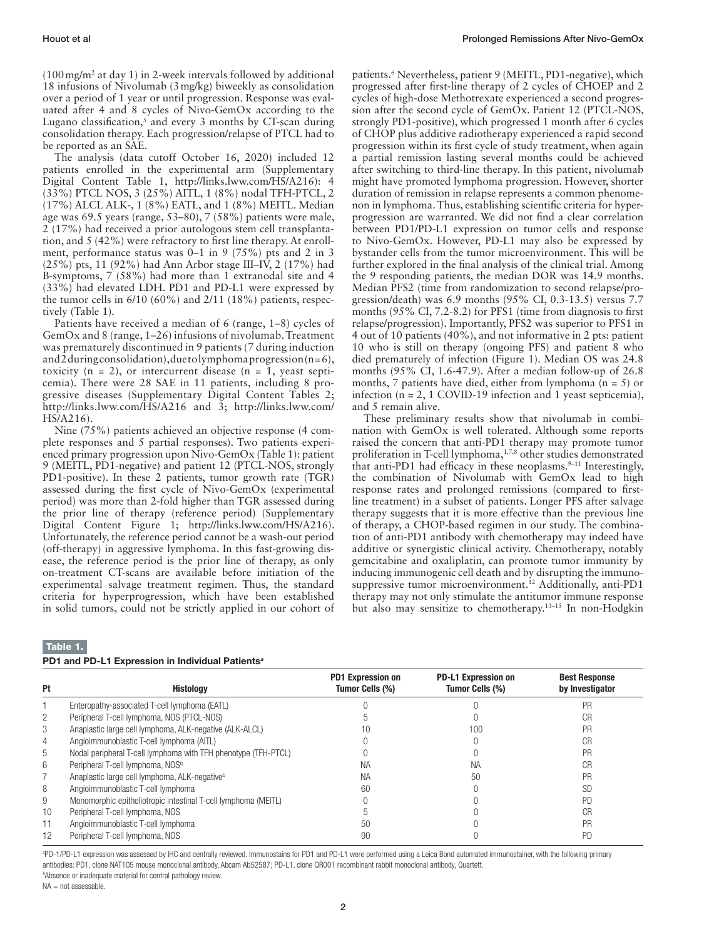$(100 \,\text{mg/m}^2$  at day 1) in 2-week intervals followed by additional 18 infusions of Nivolumab (3mg/kg) biweekly as consolidation over a period of 1 year or until progression. Response was evaluated after 4 and 8 cycles of Nivo-GemOx according to the Lugano classification, $5$  and every 3 months by CT-scan during consolidation therapy. Each progression/relapse of PTCL had to be reported as an SAE.

The analysis (data cutoff October 16, 2020) included 12 patients enrolled in the experimental arm (Supplementary Digital Content Table 1, <http://links.lww.com/HS/A216>): 4 (33%) PTCL NOS, 3 (25%) AITL, 1 (8%) nodal TFH-PTCL, 2 (17%) ALCL ALK-, 1 (8%) EATL, and 1 (8%) MEITL. Median age was 69.5 years (range, 53–80), 7 (58%) patients were male, 2 (17%) had received a prior autologous stem cell transplantation, and 5 (42%) were refractory to first line therapy. At enrollment, performance status was 0–1 in 9 (75%) pts and 2 in 3 (25%) pts, 11 (92%) had Ann Arbor stage III–IV, 2 (17%) had B-symptoms, 7 (58%) had more than 1 extranodal site and 4 (33%) had elevated LDH. PD1 and PD-L1 were expressed by the tumor cells in 6/10 (60%) and 2/11 (18%) patients, respectively (Table 1).

Patients have received a median of 6 (range, 1–8) cycles of GemOx and 8 (range, 1–26) infusions of nivolumab. Treatment was prematurely discontinued in 9 patients (7 during induction and 2 during consolidation), due to lymphoma progression (n = 6), toxicity  $(n = 2)$ , or intercurrent disease  $(n = 1)$ , yeast septicemia). There were 28 SAE in 11 patients, including 8 progressive diseases (Supplementary Digital Content Tables 2; <http://links.lww.com/HS/A216> and 3; [http://links.lww.com/](http://links.lww.com/HS/A216) [HS/A216\)](http://links.lww.com/HS/A216).

Nine (75%) patients achieved an objective response (4 complete responses and 5 partial responses). Two patients experienced primary progression upon Nivo-GemOx (Table 1): patient 9 (MEITL, PD1-negative) and patient 12 (PTCL-NOS, strongly PD1-positive). In these 2 patients, tumor growth rate (TGR) assessed during the first cycle of Nivo-GemOx (experimental period) was more than 2-fold higher than TGR assessed during the prior line of therapy (reference period) (Supplementary Digital Content Figure 1; [http://links.lww.com/HS/A216\)](http://links.lww.com/HS/A216). Unfortunately, the reference period cannot be a wash-out period (off-therapy) in aggressive lymphoma. In this fast-growing disease, the reference period is the prior line of therapy, as only on-treatment CT-scans are available before initiation of the experimental salvage treatment regimen. Thus, the standard criteria for hyperprogression, which have been established in solid tumors, could not be strictly applied in our cohort of patients.<sup>6</sup> Nevertheless, patient 9 (MEITL, PD1-negative), which progressed after first-line therapy of 2 cycles of CHOEP and 2 cycles of high-dose Methotrexate experienced a second progression after the second cycle of GemOx. Patient 12 (PTCL-NOS, strongly PD1-positive), which progressed 1 month after 6 cycles of CHOP plus additive radiotherapy experienced a rapid second progression within its first cycle of study treatment, when again a partial remission lasting several months could be achieved after switching to third-line therapy. In this patient, nivolumab might have promoted lymphoma progression. However, shorter duration of remission in relapse represents a common phenomenon in lymphoma. Thus, establishing scientific criteria for hyperprogression are warranted. We did not find a clear correlation between PD1/PD-L1 expression on tumor cells and response to Nivo-GemOx. However, PD-L1 may also be expressed by bystander cells from the tumor microenvironment. This will be further explored in the final analysis of the clinical trial. Among the 9 responding patients, the median DOR was 14.9 months. Median PFS2 (time from randomization to second relapse/progression/death) was 6.9 months (95% CI, 0.3-13.5) versus 7.7 months (95% CI, 7.2-8.2) for PFS1 (time from diagnosis to first relapse/progression). Importantly, PFS2 was superior to PFS1 in 4 out of 10 patients (40%), and not informative in 2 pts: patient 10 who is still on therapy (ongoing PFS) and patient 8 who died prematurely of infection (Figure 1). Median OS was 24.8 months (95% CI, 1.6-47.9). After a median follow-up of 26.8 months, 7 patients have died, either from lymphoma  $(n = 5)$  or infection (n = 2, 1 COVID-19 infection and 1 yeast septicemia), and 5 remain alive.

These preliminary results show that nivolumab in combination with GemOx is well tolerated. Although some reports raised the concern that anti-PD1 therapy may promote tumor proliferation in T-cell lymphoma,<sup>1,7,8</sup> other studies demonstrated that anti-PD1 had efficacy in these neoplasms. $9-11$  Interestingly, the combination of Nivolumab with GemOx lead to high response rates and prolonged remissions (compared to firstline treatment) in a subset of patients. Longer PFS after salvage therapy suggests that it is more effective than the previous line of therapy, a CHOP-based regimen in our study. The combination of anti-PD1 antibody with chemotherapy may indeed have additive or synergistic clinical activity. Chemotherapy, notably gemcitabine and oxaliplatin, can promote tumor immunity by inducing immunogenic cell death and by disrupting the immunosuppressive tumor microenvironment.<sup>12</sup> Additionally, anti-PD1 therapy may not only stimulate the antitumor immune response but also may sensitize to chemotherapy.13–15 In non-Hodgkin

#### Table 1.

| PD1 and PD-L1 Expression in Individual Patients <sup>a</sup> |
|--------------------------------------------------------------|
|--------------------------------------------------------------|

| <b>Pt</b>      | <b>Histology</b>                                               | <b>PD1 Expression on</b><br>Tumor Cells (%) | <b>PD-L1 Expression on</b><br><b>Tumor Cells (%)</b> | <b>Best Response</b><br>by Investigator |
|----------------|----------------------------------------------------------------|---------------------------------------------|------------------------------------------------------|-----------------------------------------|
|                | Enteropathy-associated T-cell lymphoma (EATL)                  |                                             |                                                      | PR                                      |
| 2              | Peripheral T-cell lymphoma, NOS (PTCL-NOS)                     |                                             |                                                      | <b>CR</b>                               |
| 3              | Anaplastic large cell lymphoma, ALK-negative (ALK-ALCL)        |                                             | 100                                                  | <b>PR</b>                               |
| $\overline{4}$ | Angioimmunoblastic T-cell lymphoma (AITL)                      |                                             |                                                      | <b>CR</b>                               |
| 5              | Nodal peripheral T-cell lymphoma with TFH phenotype (TFH-PTCL) |                                             |                                                      | PR                                      |
| 6              | Peripheral T-cell lymphoma, NOS <sup>b</sup>                   | ΝA                                          | ΝA                                                   | <b>CR</b>                               |
|                | Anaplastic large cell lymphoma, ALK-negative <sup>b</sup>      | <b>NA</b>                                   | 50                                                   | PR                                      |
| 8              | Angioimmunoblastic T-cell lymphoma                             | 60                                          |                                                      | <b>SD</b>                               |
| 9              | Monomorphic epitheliotropic intestinal T-cell lymphoma (MEITL) |                                             |                                                      | <b>PD</b>                               |
| 10             | Peripheral T-cell lymphoma, NOS                                |                                             |                                                      | <b>CR</b>                               |
|                | Angioimmunoblastic T-cell lymphoma                             | 50                                          |                                                      | PR                                      |
| 12             | Peripheral T-cell lymphoma, NOS                                | 90                                          |                                                      | PD                                      |

*a* PD-1/PD-L1 expression was assessed by IHC and centrally reviewed. Immunostains for PD1 and PD-L1 were performed using a Leica Bond automated immunostainer, with the following primary antibodies: PD1, clone NAT105 mouse monoclonal antibody, Abcam Ab52587; PD-L1, clone QR001 recombinant rabbit monoclonal antibody, Quartett.

*b* Absence or inadequate material for central pathology review.

NA = not assessable.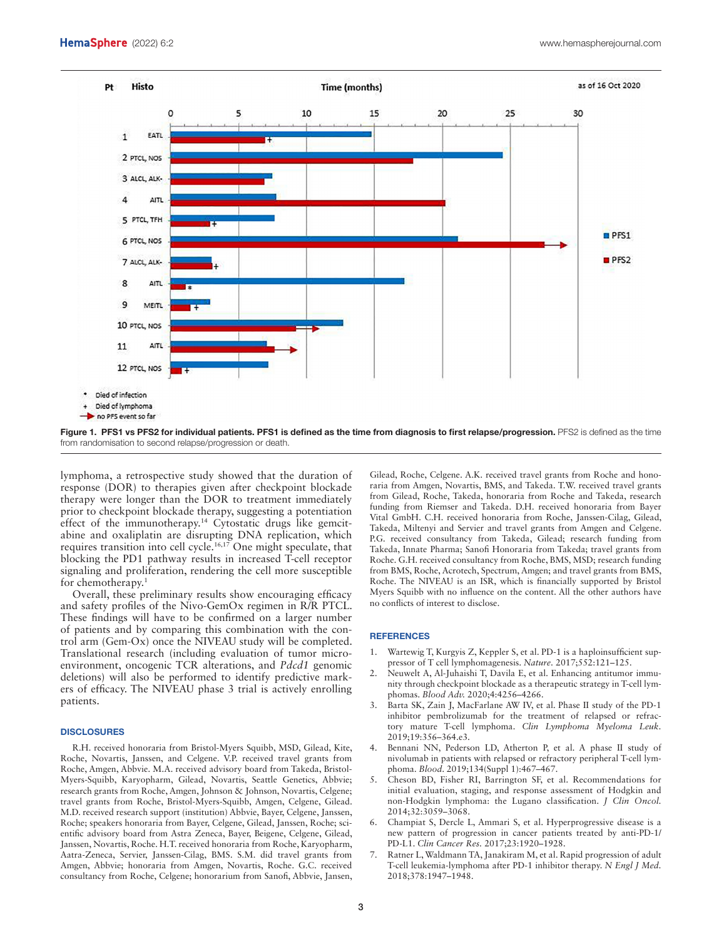

Figure 1. PFS1 vs PFS2 for individual patients. PFS1 is defined as the time from diagnosis to first relapse/progression. PFS2 is defined as the time from randomisation to second relapse/progression or death.

lymphoma, a retrospective study showed that the duration of response (DOR) to therapies given after checkpoint blockade therapy were longer than the DOR to treatment immediately prior to checkpoint blockade therapy, suggesting a potentiation effect of the immunotherapy.<sup>14</sup> Cytostatic drugs like gemcitabine and oxaliplatin are disrupting DNA replication, which requires transition into cell cycle.16,17 One might speculate, that blocking the PD1 pathway results in increased T-cell receptor signaling and proliferation, rendering the cell more susceptible for chemotherapy.1

Overall, these preliminary results show encouraging efficacy and safety profiles of the Nivo-GemOx regimen in R/R PTCL. These findings will have to be confirmed on a larger number of patients and by comparing this combination with the control arm (Gem-Ox) once the NIVEAU study will be completed. Translational research (including evaluation of tumor microenvironment, oncogenic TCR alterations, and *Pdcd1* genomic deletions) will also be performed to identify predictive markers of efficacy. The NIVEAU phase 3 trial is actively enrolling patients.

#### **DISCLOSURES**

R.H. received honoraria from Bristol-Myers Squibb, MSD, Gilead, Kite, Roche, Novartis, Janssen, and Celgene. V.P. received travel grants from Roche, Amgen, Abbvie. M.A. received advisory board from Takeda, Bristol-Myers-Squibb, Karyopharm, Gilead, Novartis, Seattle Genetics, Abbvie; research grants from Roche, Amgen, Johnson & Johnson, Novartis, Celgene; travel grants from Roche, Bristol-Myers-Squibb, Amgen, Celgene, Gilead. M.D. received research support (institution) Abbvie, Bayer, Celgene, Janssen, Roche; speakers honoraria from Bayer, Celgene, Gilead, Janssen, Roche; scientific advisory board from Astra Zeneca, Bayer, Beigene, Celgene, Gilead, Janssen, Novartis, Roche. H.T. received honoraria from Roche, Karyopharm, Aatra-Zeneca, Servier, Janssen-Cilag, BMS. S.M. did travel grants from Amgen, Abbvie; honoraria from Amgen, Novartis, Roche. G.C. received consultancy from Roche, Celgene; honorarium from Sanofi, Abbvie, Jansen,

Gilead, Roche, Celgene. A.K. received travel grants from Roche and honoraria from Amgen, Novartis, BMS, and Takeda. T.W. received travel grants from Gilead, Roche, Takeda, honoraria from Roche and Takeda, research funding from Riemser and Takeda. D.H. received honoraria from Bayer Vital GmbH. C.H. received honoraria from Roche, Janssen-Cilag, Gilead, Takeda, Miltenyi and Servier and travel grants from Amgen and Celgene. P.G. received consultancy from Takeda, Gilead; research funding from Takeda, Innate Pharma; Sanofi Honoraria from Takeda; travel grants from Roche. G.H. received consultancy from Roche, BMS, MSD; research funding from BMS, Roche, Acrotech, Spectrum, Amgen; and travel grants from BMS, Roche. The NIVEAU is an ISR, which is financially supported by Bristol Myers Squibb with no influence on the content. All the other authors have no conflicts of interest to disclose.

#### **REFERENCES**

- 1. Wartewig T, Kurgyis Z, Keppler S, et al. PD-1 is a haploinsufficient suppressor of T cell lymphomagenesis. *Nature.* 2017;552:121–125.
- 2. Neuwelt A, Al-Juhaishi T, Davila E, et al. Enhancing antitumor immunity through checkpoint blockade as a therapeutic strategy in T-cell lymphomas. *Blood Adv.* 2020;4:4256–4266.
- 3. Barta SK, Zain J, MacFarlane AW IV, et al. Phase II study of the PD-1 inhibitor pembrolizumab for the treatment of relapsed or refractory mature T-cell lymphoma. *Clin Lymphoma Myeloma Leuk.* 2019;19:356–364.e3.
- Bennani NN, Pederson LD, Atherton P, et al. A phase II study of nivolumab in patients with relapsed or refractory peripheral T-cell lymphoma. *Blood*. 2019;134(Suppl 1):467–467.
- 5. Cheson BD, Fisher RI, Barrington SF, et al. Recommendations for initial evaluation, staging, and response assessment of Hodgkin and non-Hodgkin lymphoma: the Lugano classification. *J Clin Oncol.* 2014;32:3059–3068.
- 6. Champiat S, Dercle L, Ammari S, et al. Hyperprogressive disease is a new pattern of progression in cancer patients treated by anti-PD-1/ PD-L1. *Clin Cancer Res.* 2017;23:1920–1928.
- 7. Ratner L, Waldmann TA, Janakiram M, et al. Rapid progression of adult T-cell leukemia-lymphoma after PD-1 inhibitor therapy. *N Engl J Med.* 2018;378:1947–1948.